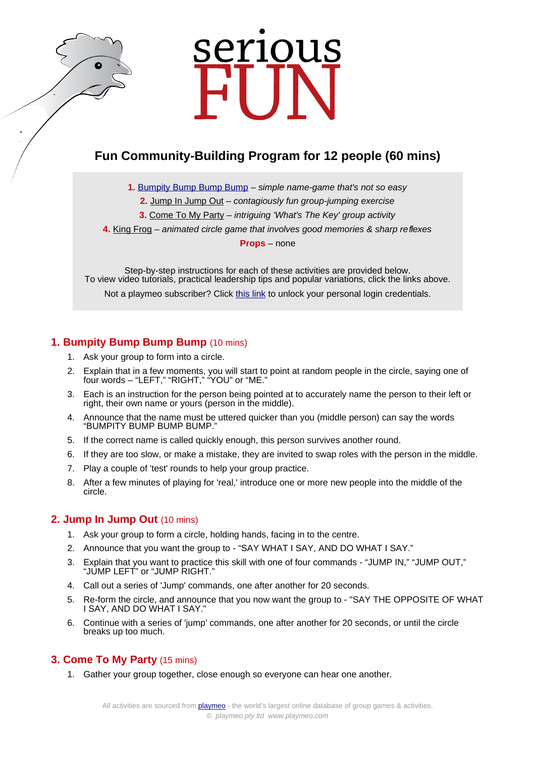# serious

# **Fun Community-Building Program for 12 people (60 mins)**

**1.** [Bumpity Bump Bump Bump](https://www.playmeo.com/activities/fun-large-group-games/bumpity-bump-bump-bump/) – simple name-game that's not so easy

**2.** [Jump In Jump Out](https://www.playmeo.com/activities/energizer-warm-up-games/jump-in-jump-out/) – contagiously fun group-jumping exercise

**3.** [Come To My Party](https://www.playmeo.com/activities/fun-large-group-games/come-to-my-party/) – intriguing 'What's The Key' group activity

**4.** [King Frog](https://www.playmeo.com/activities/fun-large-group-games/king-frog/) – animated circle game that involves good memories & sharp reflexes

**Props** – none

Step-by-step instructions for each of these activities are provided below. To view video tutorials, practical leadership tips and popular variations, click the links above.

Not a playmeo subscriber? Click [this link](http://www.playmeo.com/serious-fun-offer) to unlock your personal login credentials.

# **1. Bumpity Bump Bump Bump** (10 mins)

- 1. Ask your group to form into a circle.
- 2. Explain that in a few moments, you will start to point at random people in the circle, saying one of four words – "LEFT," "RIGHT," "YOU" or "ME."
- 3. Each is an instruction for the person being pointed at to accurately name the person to their left or right, their own name or yours (person in the middle).
- 4. Announce that the name must be uttered quicker than you (middle person) can say the words "BUMPITY BUMP BUMP BUMP."
- 5. If the correct name is called quickly enough, this person survives another round.
- 6. If they are too slow, or make a mistake, they are invited to swap roles with the person in the middle.
- 7. Play a couple of 'test' rounds to help your group practice.
- 8. After a few minutes of playing for 'real,' introduce one or more new people into the middle of the circle.

#### **2. Jump In Jump Out** (10 mins)

- 1. Ask your group to form a circle, holding hands, facing in to the centre.
- 2. Announce that you want the group to "SAY WHAT I SAY, AND DO WHAT I SAY."
- 3. Explain that you want to practice this skill with one of four commands "JUMP IN," "JUMP OUT," "JUMP LEFT" or "JUMP RIGHT."
- 4. Call out a series of 'Jump' commands, one after another for 20 seconds.
- 5. Re-form the circle, and announce that you now want the group to "SAY THE OPPOSITE OF WHAT I SAY, AND DO WHAT I SAY."
- 6. Continue with a series of 'jump' commands, one after another for 20 seconds, or until the circle breaks up too much.

## **3. Come To My Party** (15 mins)

1. Gather your group together, close enough so everyone can hear one another.